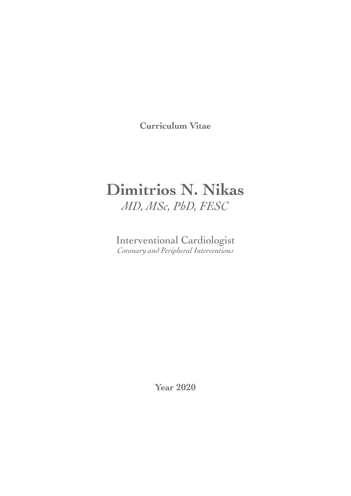**Curriculum Vitae**

# **Dimitrios N. Nikas** *MD, MSc, PhD, FESC*

Interventional Cardiologist *Coronary and Peripheral Interventions*

**Year 2020**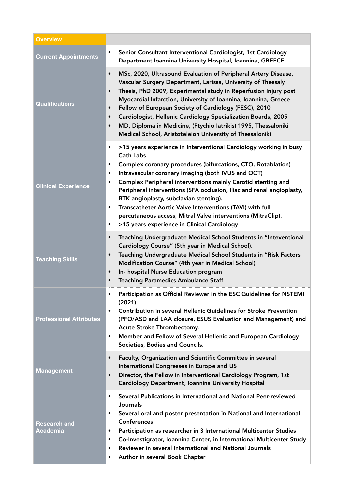| <b>Overview</b>                 |                                                                                                                                                                                                                                                                                                                                                                                                                                                                                                                                                                                                                                          |
|---------------------------------|------------------------------------------------------------------------------------------------------------------------------------------------------------------------------------------------------------------------------------------------------------------------------------------------------------------------------------------------------------------------------------------------------------------------------------------------------------------------------------------------------------------------------------------------------------------------------------------------------------------------------------------|
| <b>Current Appointments</b>     | Senior Consultant Interventional Cardiologist, 1st Cardiology<br>$\bullet$<br>Department Ioannina University Hospital, Ioannina, GREECE                                                                                                                                                                                                                                                                                                                                                                                                                                                                                                  |
| <b>Qualifications</b>           | MSc, 2020, Ultrasound Evaluation of Peripheral Artery Disease,<br>$\bullet$<br>Vascular Surgery Department, Larissa, University of Thessaly<br>Thesis, PhD 2009, Experimental study in Reperfusion Injury post<br>$\bullet$<br>Myocardial Infarction, University of Ioannina, Ioannina, Greece<br>Fellow of European Society of Cardiology (FESC), 2010<br>$\bullet$<br>Cardiologist, Hellenic Cardiology Specialization Boards, 2005<br>$\bullet$<br>MD, Diploma in Medicine, (Ptychio latrikis) 1995, Thessaloniki<br>$\bullet$<br>Medical School, Aristoteleion University of Thessaloniki                                            |
| <b>Clinical Experience</b>      | >15 years experience in Interventional Cardiology working in busy<br>$\bullet$<br><b>Cath Labs</b><br>Complex coronary procedures (bifurcations, CTO, Rotablation)<br>$\bullet$<br>Intravascular coronary imaging (both IVUS and OCT)<br>٠<br>Complex Peripheral interventions mainly Carotid stenting and<br>$\bullet$<br>Peripheral interventions (SFA occlusion, Iliac and renal angioplasty,<br>BTK angioplasty, subclavian stenting).<br>Transcatheter Aortic Valve Interventions (TAVI) with full<br>$\bullet$<br>percutaneous access, Mitral Valve interventions (MitraClip).<br>>15 years experience in Clinical Cardiology<br>٠ |
| <b>Teaching Skills</b>          | Teaching Undergraduate Medical School Students in "Inteventional<br>$\bullet$<br>Cardiology Course" (5th year in Medical School).<br>Teaching Undergraduate Medical School Students in "Risk Factors<br>$\bullet$<br>Modification Course" (4th year in Medical School)<br>In- hospital Nurse Education program<br>$\bullet$<br><b>Teaching Paramedics Ambulance Staff</b><br>$\bullet$                                                                                                                                                                                                                                                   |
| <b>Professional Attributes</b>  | Participation as Official Reviewer in the ESC Guidelines for NSTEMI<br>$\bullet$<br>(2021)<br><b>Contribution in several Hellenic Guidelines for Stroke Prevention</b><br>$\bullet$<br>(PFO/ASD and LAA closure, ESUS Evaluation and Management) and<br>Acute Stroke Thrombectomy.<br>Member and Fellow of Several Hellenic and European Cardiology<br>$\bullet$<br>Societies, Bodies and Councils.                                                                                                                                                                                                                                      |
| <b>Management</b>               | Faculty, Organization and Scientific Committee in several<br>$\bullet$<br>International Congresses in Europe and US<br>Director, the Fellow in Interventional Cardiology Program, 1st<br>$\bullet$<br>Cardiology Department, Ioannina University Hospital                                                                                                                                                                                                                                                                                                                                                                                |
| <b>Research and</b><br>Academia | Several Publications in International and National Peer-reviewed<br>$\bullet$<br>Journals<br>Several oral and poster presentation in National and International<br>$\bullet$<br><b>Conferences</b><br>Participation as researcher in 3 International Multicenter Studies<br>$\bullet$<br>Co-Investigrator, Ioannina Center, in International Multicenter Study<br>$\bullet$<br>Reviewer in several International and National Journals<br>$\bullet$<br>Author in several Book Chapter<br>$\bullet$                                                                                                                                       |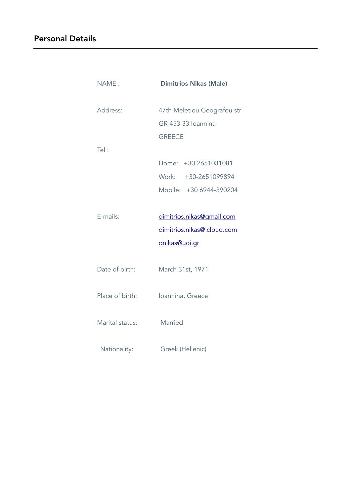| NAME:           | <b>Dimitrios Nikas (Male)</b> |
|-----------------|-------------------------------|
| Address:        | 47th Meletiou Geografou str   |
|                 | GR 453 33 Ioannina            |
|                 | <b>GREECE</b>                 |
| Tel:            |                               |
|                 | Home: +30 2651031081          |
|                 | Work: +30-2651099894          |
|                 | Mobile: +30 6944-390204       |
|                 |                               |
| E-mails:        | dimitrios.nikas@gmail.com     |
|                 | dimitrios.nikas@icloud.com    |
|                 | dnikas@uoi.gr                 |
|                 |                               |
| Date of birth:  | March 31st, 1971              |
|                 |                               |
| Place of birth: | Ioannina, Greece              |
|                 |                               |
| Marital status: | Married                       |
|                 |                               |
| Nationality:    | Greek (Hellenic)              |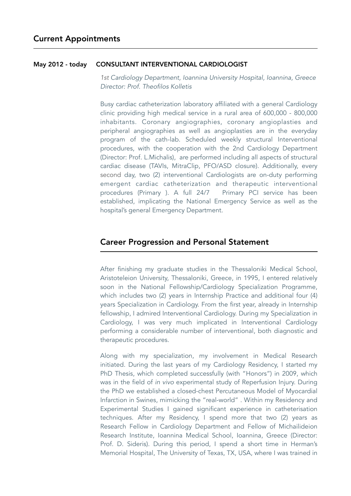#### May 2012 - today CONSULTANT INTERVENTIONAL CARDIOLOGIST

*1st Cardiology Department, Ioannina University Hospital, Ioannina, Greece Director: Prof. Theofilos Kolletis* 

Busy cardiac catheterization laboratory affiliated with a general Cardiology clinic providing high medical service in a rural area of 600,000 - 800,000 inhabitants. Coronary angiographies, coronary angioplasties and peripheral angiographies as well as angioplasties are in the everyday program of the cath-lab. Scheduled weekly structural Interventional procedures, with the cooperation with the 2nd Cardiology Department (Director: Prof. L.Michalis), are performed including all aspects of structural cardiac disease (TAVIs, MitraClip, PFO/ASD closure). Additionally, every second day, two (2) interventional Cardiologists are on-duty performing emergent cardiac catheterization and therapeutic interventional procedures (Primary ). A full 24/7 Primary PCI service has been established, implicating the National Emergency Service as well as the hospital's general Emergency Department.

# Career Progression and Personal Statement

After finishing my graduate studies in the Thessaloniki Medical School, Aristoteleion University, Thessaloniki, Greece, in 1995, I entered relatively soon in the National Fellowship/Cardiology Specialization Programme, which includes two (2) years in Internship Practice and additional four (4) years Specialization in Cardiology. From the first year, already in Internship fellowship, I admired Interventional Cardiology. During my Specialization in Cardiology, I was very much implicated in Interventional Cardiology performing a considerable number of interventional, both diagnostic and therapeutic procedures.

Along with my specialization, my involvement in Medical Research initiated. During the last years of my Cardiology Residency, I started my PhD Thesis, which completed successfully (with "Honors") in 2009, which was in the field of *in vivo* experimental study of Reperfusion Injury. During the PhD we established a closed-chest Percutaneous Model of Myocardial Infarction in Swines, mimicking the "real-world" . Within my Residency and Experimental Studies I gained significant experience in catheterisation techniques. After my Residency, I spend more that two (2) years as Research Fellow in Cardiology Department and Fellow of Michailideion Research Institute, Ioannina Medical School, Ioannina, Greece (Director: Prof. D. Sideris). During this period, I spend a short time in Herman's Memorial Hospital, The University of Texas, TX, USA, where I was trained in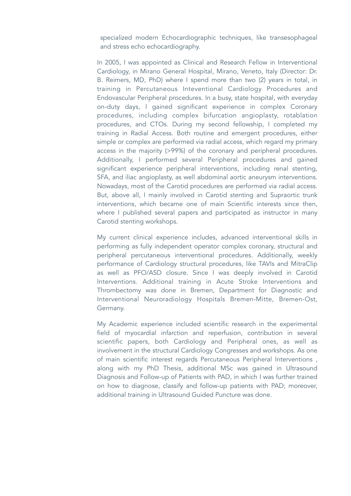specialized modern Echocardiographic techniques, like transesophageal and stress echo echocardiography.

In 2005, I was appointed as Clinical and Research Fellow in Interventional Cardiology, in Mirano General Hospital, Mirano, Veneto, Italy (Director: Dr. B. Reimers, MD, PhD) where I spend more than two (2) years in total, in training in Percutaneous Inteventional Cardiology Procedures and Endovascular Peripheral procedures. In a busy, state hospital, with everyday on-duty days, I gained significant experience in complex Coronary procedures, including complex bifurcation angioplasty, rotablation procedures, and CTOs. During my second fellowship, I completed my training in Radial Access. Both routine and emergent procedures, either simple or complex are performed via radial access, which regard my primary access in the majority (>99%) of the coronary and peripheral procedures. Additionally, I performed several Peripheral procedures and gained significant experience peripheral interventions, including renal stenting, SFA, and iliac angioplasty, as well abdominal aortic aneurysm interventions. Nowadays, most of the Carotid procedures are performed via radial access. But, above all, I mainly involved in Carotid stenting and Supraortic trunk interventions, which became one of main Scientific interests since then, where I published several papers and participated as instructor in many Carotid stenting workshops.

My current clinical experience includes, advanced interventional skills in performing as fully independent operator complex coronary, structural and peripheral percutaneous interventional procedures. Additionally, weekly performance of Cardiology structural procedures, like TAVIs and MitraClip as well as PFO/ASD closure. Since I was deeply involved in Carotid Interventions. Additional training in Acute Stroke Interventions and Thrombectomy was done in Bremen, Department for Diagnostic and Interventional Neuroradiology Hospitals Bremen-Mitte, Bremen-Ost, Germany.

My Academic experience included scientific research in the experimental field of myocardial infarction and reperfusion, contribution in several scientific papers, both Cardiology and Peripheral ones, as well as involvement in the structural Cardiology Congresses and workshops. As one of main scientific interest regards Percutaneous Peripheral Interventions , along with my PhD Thesis, additional MSc was gained in Ultrasound Diagnosis and Follow-up of Patients with PAD, in which I was further trained on how to diagnose, classify and follow-up patients with PAD; moreover, additional training in Ultrasound Guided Puncture was done.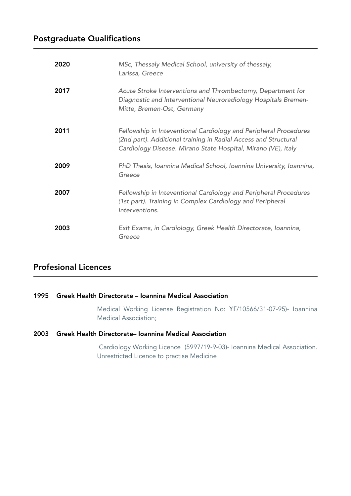# Postgraduate Qualifications

| 2020 | MSc, Thessaly Medical School, university of thessaly,<br>Larissa, Greece                                                                                                                             |
|------|------------------------------------------------------------------------------------------------------------------------------------------------------------------------------------------------------|
| 2017 | Acute Stroke Interventions and Thrombectomy, Department for<br>Diagnostic and Interventional Neuroradiology Hospitals Bremen-<br>Mitte, Bremen-Ost, Germany                                          |
| 2011 | Fellowship in Inteventional Cardiology and Peripheral Procedures<br>(2nd part). Additional training in Radial Access and Structural<br>Cardiology Disease. Mirano State Hospital, Mirano (VE), Italy |
| 2009 | PhD Thesis, Ioannina Medical School, Ioannina University, Ioannina,<br>Greece                                                                                                                        |
| 2007 | Fellowship in Inteventional Cardiology and Peripheral Procedures<br>(1st part). Training in Complex Cardiology and Peripheral<br>Interventions.                                                      |
| 2003 | Exit Exams, in Cardiology, Greek Health Directorate, Ioannina,<br>Greece                                                                                                                             |

# Profesional Licences

# 1995 Greek Health Directorate – Ioannina Medical Association

Medical Working License Registration No: ΥΓ/10566/31-07-95)- Ioannina Medical Association;

# 2003 Greek Health Directorate– Ioannina Medical Association

 Cardiology Working Licence (5997/19-9-03)- Ioannina Medical Association. Unrestricted Licence to practise Medicine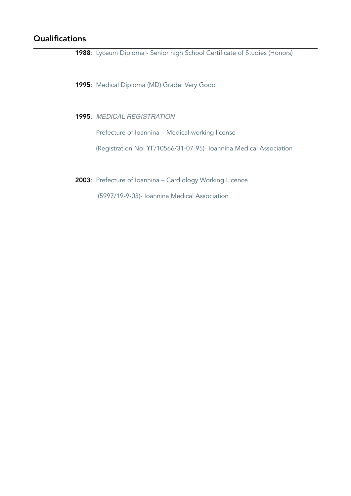# Qualifications

1988: Lyceum Diploma - Senior high School Certificate of Studies (Honors)

1995: Medical Diploma (MD) Grade: Very Good

1995: *MEDICAL REGISTRATION*

Prefecture of Ioannina – Medical working license

(Registration No: ΥΓ/10566/31-07-95)- Ioannina Medical Association

2003: Prefecture of Ioannina – Cardiology Working Licence

(5997/19-9-03)- Ioannina Medical Association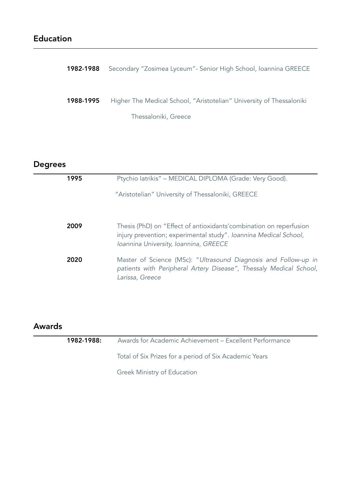# Education

| 1982-1988 | Secondary "Zosimea Lyceum" - Senior High School, Ioannina GREECE     |
|-----------|----------------------------------------------------------------------|
|           |                                                                      |
| 1988-1995 | Higher The Medical School, "Aristotelian" University of Thessaloniki |
|           | Thessaloniki, Greece                                                 |

# Degrees

| 1995 | Ptychio latrikis" – MEDICAL DIPLOMA (Grade: Very Good).                                                                                                                          |
|------|----------------------------------------------------------------------------------------------------------------------------------------------------------------------------------|
|      | "Aristotelian" University of Thessaloniki, GREECE                                                                                                                                |
|      |                                                                                                                                                                                  |
| 2009 | Thesis (PhD) on "Effect of antioxidants' combination on reperfusion<br>injury prevention; experimental study". Ioannina Medical School,<br>Ioannina University, Ioannina, GREECE |
| 2020 | Master of Science (MSc): "Ultrasound Diagnosis and Follow-up in<br>patients with Peripheral Artery Disease", Thessaly Medical School,<br>Larissa, Greece                         |
|      |                                                                                                                                                                                  |

# Awards

| 1982-1988: | Awards for Academic Achievement - Excellent Performance |
|------------|---------------------------------------------------------|
|            | Total of Six Prizes for a period of Six Academic Years  |

Greek Ministry of Education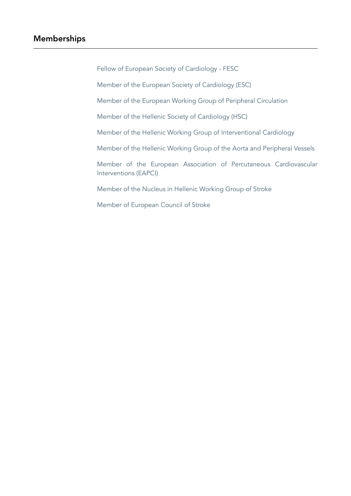Fellow of European Society of Cardiology - FESC

Member of the European Society of Cardiology (ESC)

Member of the European Working Group of Peripheral Circulation

Member of the Hellenic Society of Cardiology (HSC)

Member of the Hellenic Working Group of Interventional Cardiology

Member of the Hellenic Working Group of the Aorta and Peripheral Vessels

Member of the European Association of Percutaneous Cardiovascular Interventions (EAPCI)

Member of the Nucleus in Hellenic Working Group of Stroke

Member of European Council of Stroke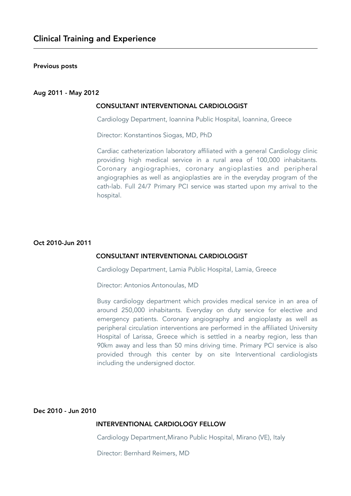#### Previous posts

#### Aug 2011 - May 2012

#### CONSULTANT INTERVENTIONAL CARDIOLOGIST

Cardiology Department, Ioannina Public Hospital, Ioannina, Greece

Director: Konstantinos Siogas, MD, PhD

Cardiac catheterization laboratory affiliated with a general Cardiology clinic providing high medical service in a rural area of 100,000 inhabitants. Coronary angiographies, coronary angioplasties and peripheral angiographies as well as angioplasties are in the everyday program of the cath-lab. Full 24/7 Primary PCI service was started upon my arrival to the hospital.

#### Oct 2010-Jun 2011

#### CONSULTANT INTERVENTIONAL CARDIOLOGIST

Cardiology Department, Lamia Public Hospital, Lamia, Greece

Director: Antonios Antonoulas, MD

Busy cardiology department which provides medical service in an area of around 250,000 inhabitants. Everyday on duty service for elective and emergency patients. Coronary angiography and angioplasty as well as peripheral circulation interventions are performed in the affiliated University Hospital of Larissa, Greece which is settled in a nearby region, less than 90km away and less than 50 mins driving time. Primary PCI service is also provided through this center by on site Interventional cardiologists including the undersigned doctor.

#### Dec 2010 - Jun 2010

### INTERVENTIONAL CARDIOLOGY FELLOW

Cardiology Department,Mirano Public Hospital, Mirano (VE), Italy

Director: Bernhard Reimers, MD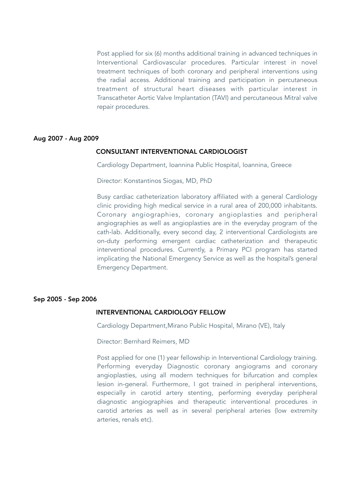Post applied for six (6) months additional training in advanced techniques in Interventional Cardiovascular procedures. Particular interest in novel treatment techniques of both coronary and peripheral interventions using the radial access. Additional training and participation in percutaneous treatment of structural heart diseases with particular interest in Transcatheter Aortic Valve Implantation (TAVI) and percutaneous Mitral valve repair procedures.

#### Aug 2007 - Aug 2009

### CONSULTANT INTERVENTIONAL CARDIOLOGIST

Cardiology Department, Ioannina Public Hospital, Ioannina, Greece

Director: Konstantinos Siogas, MD, PhD

Busy cardiac catheterization laboratory affiliated with a general Cardiology clinic providing high medical service in a rural area of 200,000 inhabitants. Coronary angiographies, coronary angioplasties and peripheral angiographies as well as angioplasties are in the everyday program of the cath-lab. Additionally, every second day, 2 interventional Cardiologists are on-duty performing emergent cardiac catheterization and therapeutic interventional procedures. Currently, a Primary PCI program has started implicating the National Emergency Service as well as the hospital's general Emergency Department.

#### Sep 2005 - Sep 2006

#### INTERVENTIONAL CARDIOLOGY FELLOW

Cardiology Department,Mirano Public Hospital, Mirano (VE), Italy

Director: Bernhard Reimers, MD

Post applied for one (1) year fellowship in Interventional Cardiology training. Performing everyday Diagnostic coronary angiograms and coronary angioplasties, using all modern techniques for bifurcation and complex lesion in-general. Furthermore, I got trained in peripheral interventions, especially in carotid artery stenting, performing everyday peripheral diagnostic angiographies and therapeutic interventional procedures in carotid arteries as well as in several peripheral arteries (low extremity arteries, renals etc).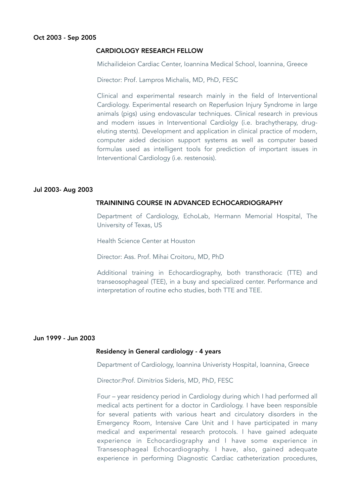#### Oct 2003 - Sep 2005

#### CARDIOLOGY RESEARCH FELLOW

Michailideion Cardiac Center, Ioannina Medical School, Ioannina, Greece

Director: Prof. Lampros Michalis, MD, PhD, FESC

Clinical and experimental research mainly in the field of Interventional Cardiology. Experimental research on Reperfusion Injury Syndrome in large animals (pigs) using endovascular techniques. Clinical research in previous and modern issues in Interventional Cardiolgy (i.e. brachytherapy, drugeluting stents). Development and application in clinical practice of modern, computer aided decision support systems as well as computer based formulas used as intelligent tools for prediction of important issues in Interventional Cardiology (i.e. restenosis).

#### Jul 2003- Aug 2003

#### TRAININING COURSE IN ADVANCED ECHOCARDIOGRAPHY

Department of Cardiology, EchoLab, Hermann Memorial Hospital, The University of Texas, US

Health Science Center at Houston

Director: Ass. Prof. Mihai Croitoru, MD, PhD

Additional training in Echocardiography, both transthoracic (TTE) and transeosophageal (TEE), in a busy and specialized center. Performance and interpretation of routine echo studies, both TTE and TEE.

#### Jun 1999 - Jun 2003

#### Residency in General cardiology - 4 years

Department of Cardiology, Ioannina Univeristy Hospital, Ioannina, Greece

Director:Prof. Dimitrios Sideris, MD, PhD, FESC

Four – year residency period in Cardiology during which I had performed all medical acts pertinent for a doctor in Cardiology. I have been responsible for several patients with various heart and circulatory disorders in the Emergency Room, Intensive Care Unit and I have participated in many medical and experimental research protocols. I have gained adequate experience in Echocardiography and I have some experience in Transesophageal Echocardiography. I have, also, gained adequate experience in performing Diagnostic Cardiac catheterization procedures,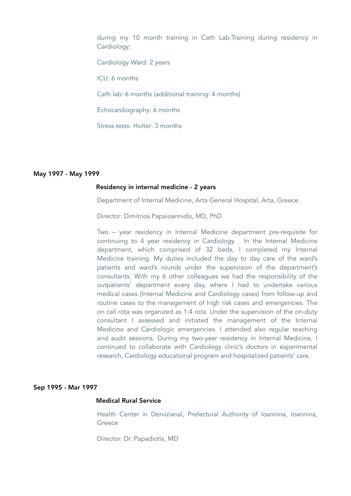during my 10 month training in Cath Lab.Training during residency in Cardiology:

Cardiology Ward: 2 years ICU: 6 months Cath lab: 6 months (additional training: 4 months) Echocardiography: 6 months Stress tests- Holter: 3 months

#### May 1997 - May 1999

#### Residency in internal medicine - 2 years

Department of Internal Medicine, Arta General Hospital, Arta, Greece

Director: Dimitrios Papaioannidis, MD, PhD

Two – year residency in Internal Medicine department pre-requisite for continuing to 4 year residency in Cardiology. In the Internal Medicine department, which comprised of 32 beds, I completed my Internal Medicine training. My duties included the day to day care of the ward's patients and ward's rounds under the supervision of the department's consultants. With my 6 other colleagues we had the responsibility of the outpatients' department every day, where I had to undertake various medical cases (Internal Medicine and Cardiology cases) from follow-up and routine cases to the management of high risk cases and emergencies. The on call rota was organized as 1:4 rota. Under the supervision of the on-duty consultant I assessed and initiated the management of the Internal Medicine and Cardiologic emergencies. I attended also regular teaching and audit sessions. During my two-year residency in Internal Medicine, I continued to collaborate with Cardiology clinic's doctors in experimental research, Cardiology educational program and hospitalized patients' care.

#### Sep 1995 - Mar 1997

#### Medical Rural Service

Health Center in Dervizianal, Prefectural Authority of Ioannina, Ioannina, Greece

Director: Dr. Papadiotis, MD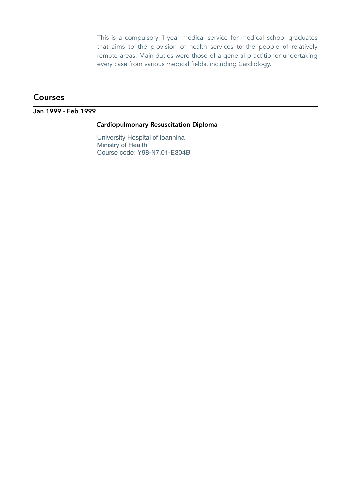This is a compulsory 1-year medical service for medical school graduates that aims to the provision of health services to the people of relatively remote areas. Main duties were those of a general practitioner undertaking every case from various medical fields, including Cardiology.

# Courses

# Jan 1999 - Feb 1999

### *C*ardiopulmonary Resuscitation Diploma

University Hospital of Ioannina Ministry of Health Course code: Υ98-Ν7.01-Ε304Β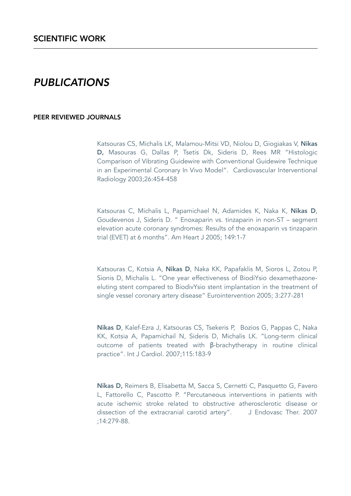# *PUBLICATIONS*

#### PEER REVIEWED JOURNALS

Katsouras CS, Michalis LK, Malamou-Mitsi VD, Niolou D, Giogiakas V, Nikas D, Masouras G, Dallas P, Tsetis Dk, Sideris D, Rees MR "Histologic Comparison of Vibrating Guidewire with Conventional Guidewire Technique in an Experimental Coronary In Vivo Model". Cardiovascular Interventional Radiology 2003;26:454-458

Katsouras C, Michalis L, Papamichael N, Adamides K, Naka K, Nikas D, Goudevenos J, Sideris D. " Enoxaparin vs. tinzaparin in non-ST – segment elevation acute coronary syndromes: Results of the enoxaparin vs tinzaparin trial (EVET) at 6 months". Am Heart J 2005; 149:1-7

Katsouras C, Kotsia A, Nikas D, Naka KK, Papafaklis M, Sioros L, Zotou P, Sionis D, Michalis L. "One year effectiveness of BiodiYsio dexamethazoneeluting stent compared to BiodivYsio stent implantation in the treatment of single vessel coronary artery disease" Eurointervention 2005; 3:277-281

Nikas D, Kalef-Ezra J, Katsouras CS, Tsekeris P, Bozios G, Pappas C, Naka KK, Kotsia A, Papamichail N, Sideris D, Michalis LK. "Long-term clinical outcome of patients treated with β-brachytherapy in routine clinical practice". Int J Cardiol. 2007;115:183-9

Nikas D, [Reimers B, Elisabetta M, Sacca S, Cernetti C, Pasquetto G, Favero](http://www.ncbi.nlm.nih.gov/sites/entrez?Db=pubmed&Cmd=ShowDetailView&TermToSearch=17723015&ordinalpos=1&itool=EntrezSystem2.PEntrez.Pubmed.Pubmed_ResultsPanel.Pubmed_RVDocSum)  [L, Fattorello C, Pascotto P.](http://www.ncbi.nlm.nih.gov/sites/entrez?Db=pubmed&Cmd=ShowDetailView&TermToSearch=17723015&ordinalpos=1&itool=EntrezSystem2.PEntrez.Pubmed.Pubmed_ResultsPanel.Pubmed_RVDocSum) "Percutaneous interventions in patients with acute ischemic stroke related to obstructive atherosclerotic disease or dissection of the extracranial carotid artery". J Endovasc Ther. 2007 ;14:279-88.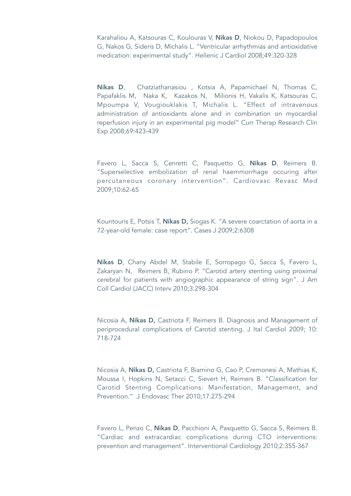Karahaliou A, Katsouras C, Koulouras V, Nikas D, Niokou D, Papadopoulos G, Nakos G, Sideris D, Michalis L. "Ventricular arrhythmias and antioxidative medication: experimental study". Hellenic J Cardiol 2008;49:320-328

Nikas D, Chatziathanasiou , Kotsia A, Papamichael N, Thomas C, Papafaklis M, Naka K, Kazakos N, Milionis H, Vakalis K, Katsouras C, Mpoumpa V, Vougiouklakis T, Michalis L. "Effect of intravenous administration of antioxidants alone and in combination on myocardial reperfusion injury in an experimental pig model" Curr Therap Research Clin Exp 2008;69:423-439

Favero L, Sacca S, Cenretti C, Pasquetto G, Nikas D, Reimers B. "Superselective embolization of renal haemmorrhage occuring after percutaneous coronary intervention". Cardiovasc Revasc Med 2009;10:62-65

Kountouris E, Potsis T, Nikas D, Siogas K. "A severe coarctation of aorta in a 72-year-old female: case report". Cases J 2009;2:6308

Nikas D, Chany Abdel M, Stabile E, Sorropago G, Sacca S, Favero L, Zakaryan N, Reimers B, Rubino P. "Carotid artery stenting using proximal cerebral for patients with angiographic appearance of string sign". J Am Coll Cardiol (JACC) Interv 2010;3:298-304

Nicosia A, Nikas D, Castriota F, Reimers B. Diagnosis and Management of periprocedural complications of Carotid stenting. J Ital Cardiol 2009; 10: 718-724

Nicosia A, Nikas D, Castriota F, Biamino G, Cao P, Cremonesi A, Mathias K, Moussa I, Hopkins N, Setacci C, Sievert H, Reimers B. "Classification for Carotid Stenting Complications: Manifestation, Management, and Prevention." J Endovasc Ther 2010;17:275-294

Favero L, Penzo C, Nikas D, Pacchioni A, Pasquetto G, Sacca S, Reimers B. "Cardiac and extracardiac complications during CTO interventions: prevention and management". Interventional Cardiology 2010;2:355-367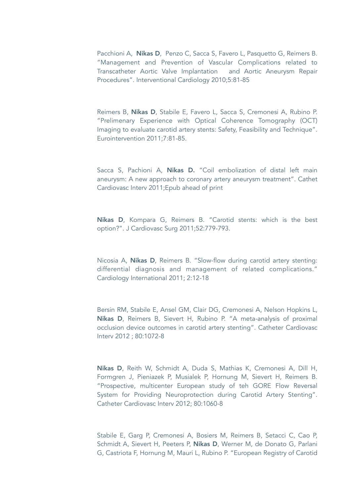Pacchioni A, Nikas D, Penzo C, Sacca S, Favero L, Pasquetto G, Reimers B. "Management and Prevention of Vascular Complications related to Transcatheter Aortic Valve Implantation and Aortic Aneurysm Repair Procedures". Interventional Cardiology 2010;5:81-85

Reimers B, Nikas D, Stabile E, Favero L, Sacca S, Cremonesi A, Rubino P. "Prelimenary Experience with Optical Coherence Tomography (OCT) Imaging to evaluate carotid artery stents: Safety, Feasibility and Technique". Eurointervention 2011;7:81-85.

Sacca S, Pachioni A, Nikas D. "Coil embolization of distal left main aneurysm: A new approach to coronary artery aneurysm treatment". Cathet Cardiovasc Interv 2011;Epub ahead of print

Nikas D, Kompara G, Reimers B. "Carotid stents: which is the best option?". J Cardiovasc Surg 2011;52:779-793.

Nicosia A, Nikas D, Reimers B. "Slow-flow during carotid artery stenting: differential diagnosis and management of related complications." Cardiology International 2011; 2:12-18

Bersin RM, Stabile E, Ansel GM, Clair DG, Cremonesi A, Nelson Hopkins L, Nikas D, Reimers B, Sievert H, Rubino P. "A meta-analysis of proximal occlusion device outcomes in carotid artery stenting". Catheter Cardiovasc Interv 2012 ; 80:1072-8

Nikas D, Reith W, Schmidt A, Duda S, Mathias K, Cremonesi A, Dill H, Formgren J, Pieniazek P, Musialek P, Hornung M, Sievert H, Reimers B. "Prospective, multicenter European study of teh GORE Flow Reversal System for Providing Neuroprotection during Carotid Artery Stenting". Catheter Cardiovasc Interv 2012; 80:1060-8

Stabile E, Garg P, Cremonesi A, Bosiers M, Reimers B, Setacci C, Cao P, Schmidt A, Sievert H, Peeters P, Nikas D, Werner M, de Donato G, Parlani G, Castriota F, Hornung M, Mauri L, Rubino P. "European Registry of Carotid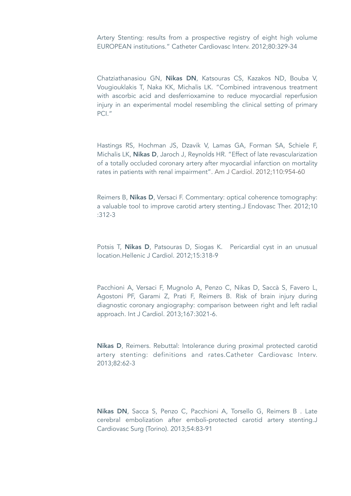Artery Stenting: results from a prospective registry of eight high volume EUROPEAN institutions." Catheter Cardiovasc Interv. 2012;80:329-34

Chatziathanasiou GN, Nikas DN, Katsouras CS, Kazakos ND, Bouba V, Vougiouklakis T, Naka KK, Michalis LK. "Combined intravenous treatment with ascorbic acid and desferrioxamine to reduce myocardial reperfusion injury in an experimental model resembling the clinical setting of primary PCI."

Hastings RS, Hochman JS, Dzavik V, Lamas GA, Forman SA, Schiele F, Michalis LK, Nikas D, Jaroch J, Reynolds HR. "Effect of late revascularization of a totally occluded coronary artery after myocardial infarction on mortality rates in patients with renal impairment". Am J Cardiol. 2012;110:954-60

Reimers B, Nikas D, Versaci F. Commentary: optical coherence tomography: a valuable tool to improve carotid artery stenting.J Endovasc Ther. 2012;10 :312-3

Potsis T, Nikas D, Patsouras D, Siogas K. Pericardial cyst in an unusual location.Hellenic J Cardiol. 2012;15:318-9

Pacchioni A, Versaci F, Mugnolo A, Penzo C, Nikas D, Saccà S, Favero L, Agostoni PF, Garami Z, Prati F, Reimers B. Risk of brain injury during diagnostic coronary angiography: comparison between right and left radial approach. Int J Cardiol. 2013;167:3021-6.

Nikas D, Reimers. Rebuttal: Intolerance during proximal protected carotid artery stenting: definitions and rates.Catheter Cardiovasc Interv. 2013;82:62-3

Nikas DN, Sacca S, Penzo C, Pacchioni A, Torsello G, Reimers B . Late cerebral embolization after emboli-protected carotid artery stenting.J Cardiovasc Surg (Torino). 2013;54:83-91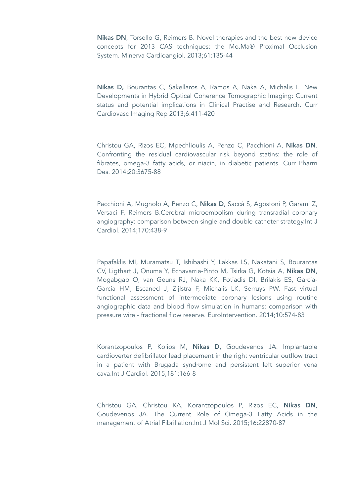Nikas DN, Torsello G, Reimers B. Novel therapies and the best new device concepts for 2013 CAS techniques: the Mo.Ma® Proximal Occlusion System. Minerva Cardioangiol. 2013;61:135-44

Nikas D, Bourantas C, Sakellaros A, Ramos A, Naka A, Michalis L. New Developments in Hybrid Optical Coherence Tomographic Imaging: Current status and potential implications in Clinical Practise and Research. Curr Cardiovasc Imaging Rep 2013;6:411-420

Christou GA, Rizos EC, Mpechlioulis A, Penzo C, Pacchioni A, Nikas DN. Confronting the residual cardiovascular risk beyond statins: the role of fibrates, omega-3 fatty acids, or niacin, in diabetic patients. Curr Pharm Des. 2014;20:3675-88

Pacchioni A, Mugnolo A, Penzo C, Nikas D, Saccà S, Agostoni P, Garami Z, Versaci F, Reimers B.Cerebral microembolism during transradial coronary angiography: comparison between single and double catheter strategy.Int J Cardiol. 2014;170:438-9

Papafaklis MI, Muramatsu T, Ishibashi Y, Lakkas LS, Nakatani S, Bourantas CV, Ligthart J, Onuma Y, Echavarria-Pinto M, Tsirka G, Kotsia A, Nikas DN, Mogabgab O, van Geuns RJ, Naka KK, Fotiadis DI, Brilakis ES, Garcia-Garcia HM, Escaned J, Zijlstra F, Michalis LK, Serruys PW. Fast virtual functional assessment of intermediate coronary lesions using routine angiographic data and blood flow simulation in humans: comparison with pressure wire - fractional flow reserve. EuroIntervention. 2014;10:574-83

Korantzopoulos P, Kolios M, Nikas D, Goudevenos JA. Implantable cardioverter defibrillator lead placement in the right ventricular outflow tract in a patient with Brugada syndrome and persistent left superior vena cava.Int J Cardiol. 2015;181:166-8

Christou GA, Christou KA, Korantzopoulos P, Rizos EC, Nikas DN, Goudevenos JA. The Current Role of Omega-3 Fatty Acids in the management of Atrial Fibrillation.Int J Mol Sci. 2015;16:22870-87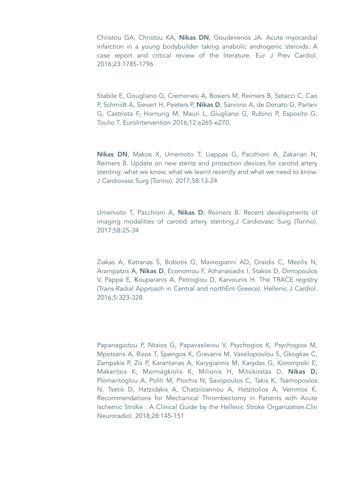Christou GA, Christou KA, Nikas DN, Goudevenos JA. Acute myocardial infarction in a young bodybuilder taking anabolic androgenic steroids: A case report and critical review of the literature. Eur J Prev Cardiol. 2016;23:1785-1796

Stabile E, Gougliano G, Cremonesi A, Bosiers M, Reimers B, Setacci C, Cao P, Schmidt A, Sievert H, Peeters P, Nikas D, Sannino A, de Donato G, Parlani G, Castriota F, Hornung M, Mauri L, Giugliano G, Rubino P, Esposito G, Toulio T. EuroIntervention 2016;12:e265-e270.

Nikas DN, Makos X, Umemoto T, Liappas G, Pacchioni A, Zakarian N, Reimers B. Update on new stents and protection devices for carotid artery stenting: what we know, what we learnt recently and what we need to know. J Cardiovasc Surg (Torino). 2017;58:13-24

Umemoto T, Pacchioni A, Nikas D, Reimers B. Recent developments of imaging modalities of carotid artery stenting.J Cardiovasc Surg (Torino). 2017;58:25-34

Ziakas A, Katranas S, Bobotis G, Mavrogianni AD, Graidis C, Mezilis N, Arampatzis Α, Nikas D, Economou F, Athanasiadis I, Stakos D, Dimopoulos V, Pappa E, Κouparanis A, Petroglou D, Karvounis H. The TRACE registry (Trans-Radial Approach in Central and northErn Greece). Hellenic J Cardiol. 2016;5:323-328

Papanagiotou P, Ntaios G, Papavasileiou V, Psychogios K, Psychogios M, Mpotsaris A, Rizos T, Spengos K, Gravanis M, Vassilopoulou S, Gkogkas C, Zampakis P, Zis P, Karantanas A, Karygiannis M, Karydas G, Korompoki E, Makaritsis K, Marmagkiolis K, Milionis H, Mitsikostas D, Nikas D, Plomaritoglou A, Politi M, Ptochis N, Savopoulos C, Takis K, Tsamopoulos N, Tsetis D, Hatzidakis A, Chatziioannou A, Hatzitolios A, Vemmos K. Recommendations for Mechanical Thrombectomy in Patients with Acute Ischemic Stroke : A Clinical Guide by the Hellenic Stroke Organization.Clin Neuroradiol. 2018;28:145-151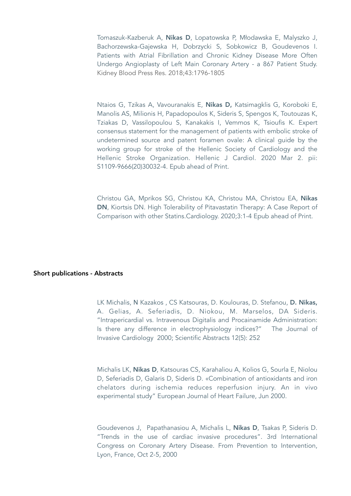Tomaszuk-Kazberuk A, Nikas D, Lopatowska P, Młodawska E, Malyszko J, Bachorzewska-Gajewska H, Dobrzycki S, Sobkowicz B, Goudevenos I. Patients with Atrial Fibrillation and Chronic Kidney Disease More Often Undergo Angioplasty of Left Main Coronary Artery - a 867 Patient Study. Kidney Blood Press Res. 2018;43:1796-1805

Ntaios G, Tzikas A, Vavouranakis E, Nikas D, Katsimagklis G, Koroboki E, Manolis AS, Milionis H, Papadopoulos K, Sideris S, Spengos K, Toutouzas K, Tziakas D, Vassilopoulou S, Kanakakis I, Vemmos K, Tsioufis K. Expert consensus statement for the management of patients with embolic stroke of undetermined source and patent foramen ovale: A clinical guide by the working group for stroke of the Hellenic Society of Cardiology and the Hellenic Stroke Organization. Hellenic J Cardiol. 2020 Mar 2. pii: S1109-9666(20)30032-4. Epub ahead of Print.

Christou GA, Mprikos SG, Christou KA, Christou MA, Christou EA, Nikas DN, Kiortsis DN. High Tolerability of Pitavastatin Therapy: A Case Report of Comparison with other Statins.Cardiology. 2020;3:1-4 Epub ahead of Print.

#### Short publications - Abstracts

LK Michalis, N Kazakos, CS Katsouras, D. Koulouras, D. Stefanou, D. Nikas, A. Gelias, A. Seferiadis, D. Niokou, M. Marselos, DA Sideris. "Intrapericardial vs. Intravenous Digitalis and Procainamide Administration: Is there any difference in electrophysiology indices?" The Journal of Invasive Cardiology 2000; Scientific Abstracts 12(5): 252

Michalis LK, Nikas D, Katsouras CS, Karahaliou A, Kolios G, Sourla E, Niolou D, Seferiadis D, Galaris D, Sideris D. «Combination of antioxidants and iron chelators during ischemia reduces reperfusion injury. An in vivo experimental study" European Journal of Heart Failure, Jun 2000.

Goudevenos J, Papathanasiou A, Michalis L, Nikas D, Tsakas P, Sideris D. "Trends in the use of cardiac invasive procedures". 3rd International Congress on Coronary Artery Disease. From Prevention to Intervention, Lyon, France, Oct 2-5, 2000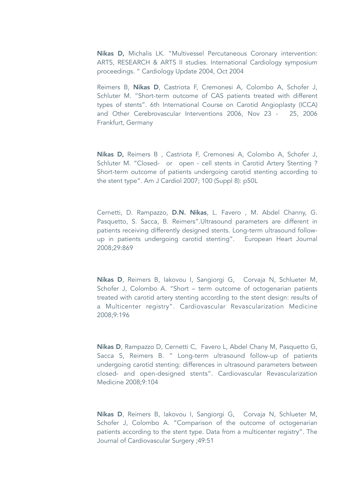Nikas D, Michalis LK. "Multivessel Percutaneous Coronary intervention: ARTS, RESEARCH & ARTS II studies. International Cardiology symposium proceedings. " Cardiology Update 2004, Oct 2004

Reimers B, Nikas D, Castriota F, Cremonesi A, Colombo A, Schofer J, Schluter M. "Short-term outcome of CAS patients treated with different types of stents". 6th International Course on Carotid Angioplasty (ICCA) and Other Cerebrovascular Interventions 2006, Nov 23 - 25, 2006 Frankfurt, Germany

Nikas D, Reimers B , Castriota F, Cremonesi A, Colombo A, Schofer J, Schluter M. "Closed- or open - cell stents in Carotid Artery Stenting ? Short-term outcome of patients undergoing carotid stenting according to the stent type". Am J Cardiol 2007; 100 (Suppl 8): p50L

Cernetti, D. Rampazzo, D.N. Nikas, L. Favero , M. Abdel Channy, G. Pasquetto, S. Sacca, B. Reimers".Ultrasound parameters are different in patients receiving differently designed stents. Long-term ultrasound followup in patients undergoing carotid stenting". European Heart Journal 2008;29:869

Nikas D, Reimers B, Iakovou I, Sangiorgi G, Corvaja N, Schlueter M, Schofer J, Colombo A. "Short – term outcome of octogenarian patients treated with carotid artery stenting according to the stent design: results of a Multicenter registry". Cardiovascular Revascularization Medicine 2008;9:196

Nikas D, Rampazzo D, Cernetti C, Favero L, Abdel Chany M, Pasquetto G, Sacca S, Reimers B. " Long-term ultrasound follow-up of patients undergoing carotid stenting: differences in ultrasound parameters between closed- and open-designed stents". Cardiovascular Revascularization Medicine 2008;9:104

Nikas D, Reimers B, Iakovou I, Sangiorgi G, Corvaja N, Schlueter M, Schofer J, Colombo A. "Comparison of the outcome of octogenarian patients according to the stent type. Data from a multicenter registry". The Journal of Cardiovascular Surgery ;49:51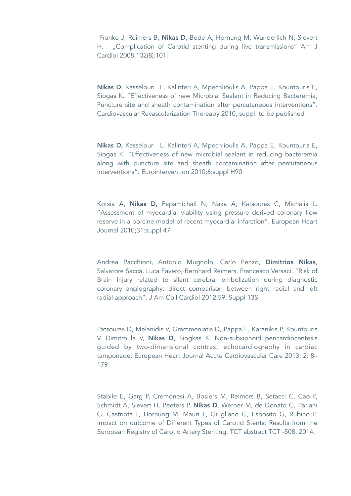Franke J, Reimers B, Nikas D, Bode A, Hornung M, Wunderlich N, Sievert H. "Complication of Carotid stenting during live transmissions" Am J Cardiol 2008;102(8):101i

Nikas D, Kasselouri L, Kalinteri A, Mpechlioulis A, Pappa E, Kountouris E, Siogas K. "Effectiveness of new Microbial Sealant in Reducing Bacteremia, Puncture site and sheath contamination after percutaneous interventions". Cardiovascular Revascularization Thereapy 2010, suppl: to be published

Nikas D, Kasselouri L, Kalinteri A, Mpechlioulis A, Pappa E, Kountouris E, Siogas K. "Effectiveness of new microbial sealant in reducing bacteremia along with puncture site and sheath contamination after percutaneous interventions". Eurointervention 2010;6:suppl H90

Kotsia A, Nikas D, Papamichail N, Naka A, Katsouras C, Michalis L. "Assessment of myocardial viability using pressure derived coronary flow reserve in a porcine model of recent myocardial infarction". European Heart Journal 2010;31:suppl 47.

Andrea Pacchioni, Antonio Mugnolo, Carlo Penzo, Dimitrios Nikas, Salvatore Saccà, Luca Favero, Bernhard Reimers, Francesco Versaci. "Risk of Brain Injury related to silent cerebral embolization during diagnostic coronary angiography: direct comparison between right radial and left radial approach". J Am Coll Cardiol 2012;59: Suppl 13S

Patsouras D, Melanidis V, Grammeniatis D, Pappa E, Karanikis P, Kountouris V, Dimitroula V, Nikas D, Siogkas K. Non-subxiphoid pericardiocentesis guided by two-dimensional contrast echocardiography in cardiac tamponade. European Heart Journal Acute Cardiovascular Care 2013; 2: 8– 179

Stabile E, Garg P, Cremonesi A, Bosiers M, Reimers B, Setacci C, Cao P, Schmidt A, Sievert H, Peeters P, Nikas D, Werner M, de Donato G, Parlani G, Castriota F, Hornung M, Mauri L, Giugliano G, Esposito G, Rubino P. Impact on outcome of Different Types of Carotid Stents: Results from the European Registry of Carotid Artery Stenting. TCT abstract TCT -508, 2014.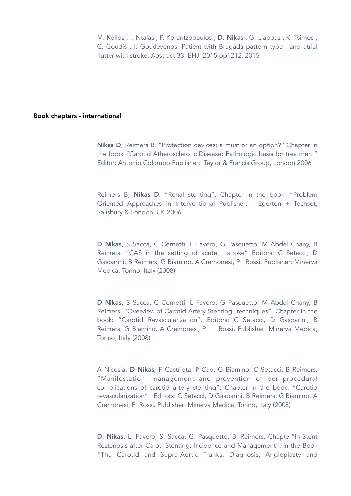M. Kolios , I. Ntalas , P. Korantzopoulos , D. Nikas , G. Liappas , K. Tsimos , C. Goudis , I. Goudevenos. Patient with Brugada pattern type I and atrial flutter with stroke. Abstract 33: EHJ 2015 pp1212; 2015

#### Book chapters - international

Nikas D, Reimers B. "Protection devices: a must or an option?" Chapter in the book "Carotid Atherosclerotic Disease: Pathologic basis for treatment" Editor: Antonio Colombo Publisher: Taylor & Francis Group, London 2006

Reimers B, Nikas D. "Renal stenting". Chapter in the book: "Problem Oriented Approaches in Interventional Publisher: Egerton + Techset, Salisbury & London, UK 2006

D Nikas, S Sacca, C Cernetti, L Favero, G Pasquetto, M Abdel Chany, B Reimers. "CAS in the setting of acute stroke" Editors: C Setacci, D Gasparini, B Reimers, G Biamino, A Cremonesi, P Rossi. Publisher: Minerva Medica, Torino, Italy (2008)

D Nikas, S Sacca, C Cernetti, L Favero, G Pasquetto, M Abdel Chany, B Reimers. "Overview of Carotid Artery Stenting techniques". Chapter in the book: "Carotid Revascularization". Editors: C Setacci, D Gasparini, B Reimers, G Biamino, A Cremonesi, P Rossi. Publisher: Minerva Medica, Torino, Italy (2008)

A Nicosia, D Nikas, F Castriota, P Cao, G Biamino, C Setacci, B Reimers. "Manifestation, management and prevention of peri-procedural complications of carotid artery stenting". Chapter in the book: "Carotid revascularization". Editors: C Setacci, D Gasparini, B Reimers, G Biamino, A Cremonesi, P Rossi. Publisher: Minerva Medica, Torino, Italy (2008)

D. Nikas, L. Favero, S. Sacca, G. Pasquetto, B. Reimers. Chapter"In-Stent Restenosis after Caroti Stenting: Incidence and Management", in the Book "The Carotid and Supra-Aortic Trunks: Diagnosis, Angioplasty and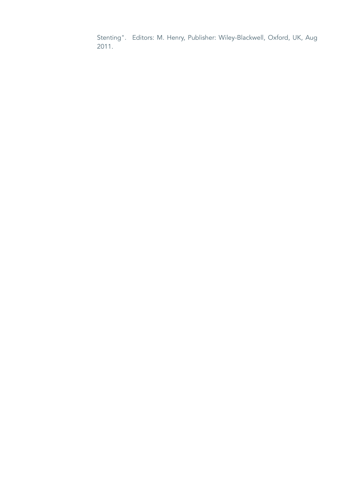Stenting". Editors: M. Henry, Publisher: Wiley-Blackwell, Oxford, UK, Aug 2011.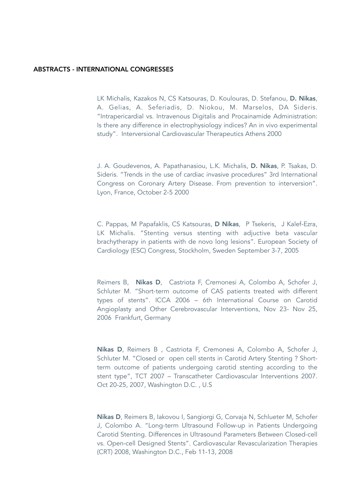#### ABSTRACTS - INTERNATIONAL CONGRESSES

LK Michalis, Kazakos N, CS Katsouras, D. Koulouras, D. Stefanou, D. Nikas, A. Gelias, A. Seferiadis, D. Niokou, M. Marselos, DA Sideris. "Intrapericardial vs. Intravenous Digitalis and Procainamide Administration: Is there any difference in electrophysiology indices? An in vivo experimental study". Interversional Cardiovascular Therapeutics Athens 2000

J. A. Goudevenos, A. Papathanasiou, L.K. Michalis, D. Nikas, P. Tsakas, D. Sideris. "Trends in the use of cardiac invasive procedures" 3rd International Congress on Coronary Artery Disease. From prevention to interversion". Lyon, France, October 2-5 2000

C. Pappas, M Papafaklis, CS Katsouras, D Nikas, P Tsekeris, J Kalef-Ezra, LK Michalis. "Stenting versus stenting with adjuctive beta vascular brachytherapy in patients with de novo long lesions". European Society of Cardiology (ESC) Congress, Stockholm, Sweden September 3-7, 2005

Reimers B, Nikas D, Castriota F, Cremonesi A, Colombo A, Schofer J, Schluter M. "Short-term outcome of CAS patients treated with different types of stents". ICCA 2006 – 6th International Course on Carotid Angioplasty and Other Cerebrovascular Interventions, Nov 23- Nov 25, 2006 Frankfurt, Germany

Nikas D, Reimers B , Castriota F, Cremonesi A, Colombo A, Schofer J, Schluter M. "Closed or open cell stents in Carotid Artery Stenting ? Shortterm outcome of patients undergoing carotid stenting according to the stent type", TCT 2007 – Transcatheter Cardiovascular Interventions 2007. Oct 20-25, 2007, Washington D.C. , U.S

Nikas D, Reimers B, Iakovou I, Sangiorgi G, Corvaja N, Schlueter M, Schofer J, Colombo A. "Long-term Ultrasound Follow-up in Patients Undergoing Carotid Stenting. Differences in Ultrasound Parameters Between Closed-cell vs. Open-cell Designed Stents". Cardiovascular Revascularization Therapies (CRT) 2008, Washington D.C., Feb 11-13, 2008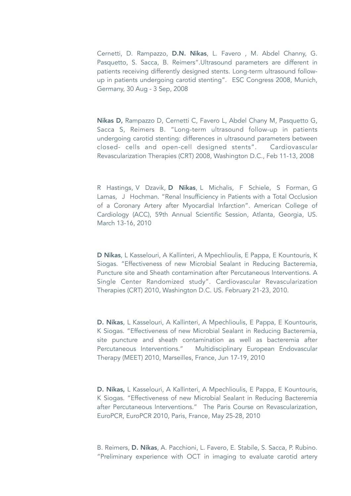Cernetti, D. Rampazzo, D.N. Nikas, L. Favero , M. Abdel Channy, G. Pasquetto, S. Sacca, B. Reimers".Ultrasound parameters are different in patients receiving differently designed stents. Long-term ultrasound followup in patients undergoing carotid stenting". ESC Congress 2008, Munich, Germany, 30 Aug - 3 Sep, 2008

Nikas D, Rampazzo D, Cernetti C, Favero L, Abdel Chany M, Pasquetto G, Sacca S, Reimers B. "Long-term ultrasound follow-up in patients undergoing carotid stenting: differences in ultrasound parameters between closed- cells and open-cell designed stents". Cardiovascular Revascularization Therapies (CRT) 2008, Washington D.C., Feb 11-13, 2008

R Hastings, V Dzavik, D Nikas, L Michalis, F Schiele, S Forman, G Lamas, J Hochman. "Renal Insufficiency in Patients with a Total Occlusion of a Coronary Artery after Myocardial Infarction". American College of Cardiology (ACC), 59th Annual Scientific Session, Atlanta, Georgia, US. March 13-16, 2010

D Nikas, L Kasselouri, A Kallinteri, A Mpechlioulis, E Pappa, E Kountouris, K Siogas. "Effectiveness of new Microbial Sealant in Reducing Bacteremia, Puncture site and Sheath contamination after Percutaneous Interventions. A Single Center Randomized study". Cardiovascular Revascularization Therapies (CRT) 2010, Washington D.C. US. February 21-23, 2010.

D. Nikas, L Kasselouri, A Kallinteri, A Mpechlioulis, E Pappa, E Kountouris, K Siogas. "Effectiveness of new Microbial Sealant in Reducing Bacteremia, site puncture and sheath contamination as well as bacteremia after Percutaneous Interventions." Multidisciplinary European Endovascular Therapy (MEET) 2010, Marseilles, France, Jun 17-19, 2010

D. Nikas, L Kasselouri, A Kallinteri, A Mpechlioulis, E Pappa, E Kountouris, K Siogas. "Effectiveness of new Microbial Sealant in Reducing Bacteremia after Percutaneous Interventions." The Paris Course on Revascularization, EuroPCR, EuroPCR 2010, Paris, France, May 25-28, 2010

B. Reimers, D. Nikas, A. Pacchioni, L. Favero, E. Stabile, S. Sacca, P. Rubino. "Preliminary experience with OCT in imaging to evaluate carotid artery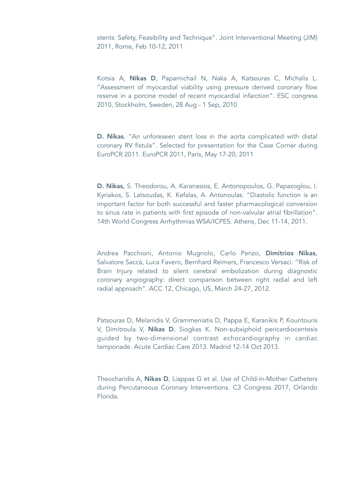stents: Safety, Feasibility and Technique". Joint Interventional Meeting (JIM) 2011, Rome, Feb 10-12, 2011

Kotsia A, Nikas D, Papamichail N, Naka A, Katsouras C, Michalis L. "Assessment of myocardial viability using pressure derived coronary flow reserve in a porcine model of recent myocardial infarction". ESC congress 2010, Stockholm, Sweden, 28 Aug - 1 Sep, 2010

D. Nikas. "An unforeseen stent loss in the aorta complicated with distal coronary RV fistula". Selected for presentation for the Case Corner during EuroPCR 2011. EuroPCR 2011, Paris, May 17-20, 2011

D. Nikas, S. Theodorou, A. Karanasios, E. Antonopoulos, G. Papazoglou, I. Kyriakos, S. Latsoudas, K. Kefalas, A. Antonoulas. "Diastolic function is an important factor for both successful and faster pharmacological conversion to sinus rate in patients with first episode of non-valvular atrial fibrillation". 14th World Congress Arrhythmias WSA/ICPES. Athens, Dec 11-14, 2011.

Andrea Pacchioni, Antonio Mugnolo, Carlo Penzo, Dimitrios Nikas, Salvatore Saccà, Luca Favero, Bernhard Reimers, Francesco Versaci. "Risk of Brain Injury related to silent cerebral embolization during diagnostic coronary angiography: direct comparison between right radial and left radial approach". ACC 12, Chicago, US, March 24-27, 2012.

Patsouras D, Melanidis V, Grammeniatis D, Pappa E, Karanikis P, Kountouris V, Dimitroula V, Nikas D, Siogkas K. Non-subxiphoid pericardiocentesis guided by two-dimensional contrast echocardiography in cardiac tamponade. Acute Cardiac Care 2013. Madrid 12-14 Oct 2013.

Theocharidis A, Nikas D, Liappas G et al. Use of Child-in-Mother Catheters during Percutaneous Coronary Interventions. C3 Congress 2017, Orlando Florida.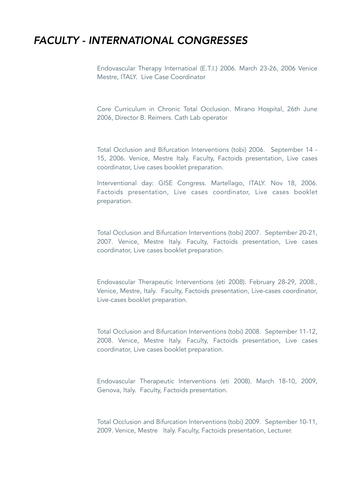# *FACULTY - INTERNATIONAL CONGRESSES*

Endovascular Therapy Internatioal (E.T.I.) 2006. March 23-26, 2006 Venice Mestre, ITALY. Live Case Coordinator

Core Curriculum in Chronic Total Occlusion. Mirano Hospital, 26th June 2006, Director B. Reimers. Cath Lab operator

Total Occlusion and Bifurcation Interventions (tobi) 2006. September 14 - 15, 2006. Venice, Mestre Italy. Faculty, Factoids presentation, Live cases coordinator, Live cases booklet preparation.

Interventional day: GISE Congress. Martellago, ITALY. Nov 18, 2006. Factoids presentation, Live cases coordinator, Live cases booklet preparation.

Total Occlusion and Bifurcation Interventions (tobi) 2007. September 20-21, 2007. Venice, Mestre Italy. Faculty, Factoids presentation, Live cases coordinator, Live cases booklet preparation.

Endovascular Therapeutic Interventions (eti 2008). February 28-29, 2008., Venice, Mestre, Italy. Faculty, Factoids presentation, Live-cases coordinator, Live-cases booklet preparation.

Total Occlusion and Bifurcation Interventions (tobi) 2008. September 11-12, 2008. Venice, Mestre Italy. Faculty, Factoids presentation, Live cases coordinator, Live cases booklet preparation.

Endovascular Therapeutic Interventions (eti 2008). March 18-10, 2009, Genova, Italy. Faculty, Factoids presentation.

Total Occlusion and Bifurcation Interventions (tobi) 2009. September 10-11, 2009. Venice, Mestre Italy. Faculty, Factoids presentation, Lecturer.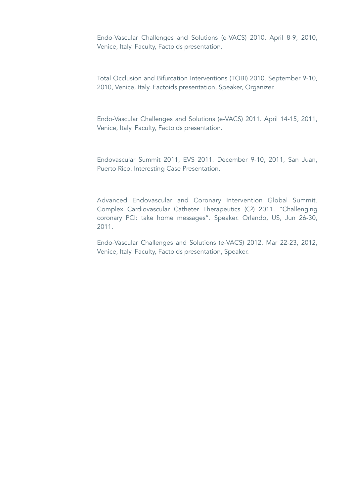Endo-Vascular Challenges and Solutions (e-VACS) 2010. April 8-9, 2010, Venice, Italy. Faculty, Factoids presentation.

Total Occlusion and Bifurcation Interventions (TOBI) 2010. September 9-10, 2010, Venice, Italy. Factoids presentation, Speaker, Organizer.

Endo-Vascular Challenges and Solutions (e-VACS) 2011. April 14-15, 2011, Venice, Italy. Faculty, Factoids presentation.

Endovascular Summit 2011, EVS 2011. December 9-10, 2011, San Juan, Puerto Rico. Interesting Case Presentation.

Advanced Endovascular and Coronary Intervention Global Summit. Complex Cardiovascular Catheter Therapeutics (C3) 2011. "Challenging coronary PCI: take home messages". Speaker. Orlando, US, Jun 26-30, 2011.

Endo-Vascular Challenges and Solutions (e-VACS) 2012. Mar 22-23, 2012, Venice, Italy. Faculty, Factoids presentation, Speaker.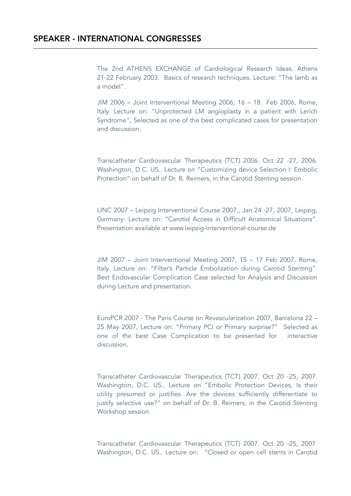The 2nd ATHENS EXCHANGE of Cardiological Research Ideas. Athens 21-22 February 2003. Basics of research techniques. Lecture: "The lamb as a model".

JIM 2006 – Joint Interventional Meeting 2006, 16 – 18 Feb 2006, Rome, Italy. Lecture on: "Unprotected LM angioplasty in a patient with Lerich Syndrome", Selected as one of the best complicated cases for presentation and discussion.

Transcatheter Cardiovascular Therapeutics (TCT) 2006. Oct 22 -27, 2006. Washington, D.C. US.. Lecture on "Customizing device Selection I: Embolic Protection" on behalf of Dr. B. Reimers, in the Carotid Stenting session.

LINC 2007 – Leipzig Interventional Course 2007., Jan 24 -27, 2007, Leipzig, Germany: Lecture on: "Carotid Access in Difficult Anatomical Situations". Presentation available at [www.leipzig-interventional-course.de](http://www.leipzig-interventional-course.de) 

JIM 2007 – Joint Interventional Meeting 2007, 15 – 17 Feb 2007, Rome, Italy. Lecture on: "Filter's Particle Embolization during Carotid Stenting". Best Endovascular Complication Case selected for Analysis and Discussion during Lecture and presentation.

EuroPCR 2007 - The Paris Course on Revascularization 2007, Barcelona 22 – 25 May 2007, Lecture on: "Primary PCI or Primary surprise?" Selected as one of the best Case Complication to be presented for interactive discussion.

Transcatheter Cardiovascular Therapeutics (TCT) 2007. Oct 20 -25, 2007. Washington, D.C. US.. Lecture on "Embolic Protection Devices, Is their utility presumed or justifies. Are the devices sufficiently differentiate to justify selective use?" on behalf of Dr. B. Reimers, in the Carotid Stenting Workshop session.

Transcatheter Cardiovascular Therapeutics (TCT) 2007. Oct 20 -25, 2007. Washington, D.C. US.. Lecture on: "Closed or open cell stents in Carotid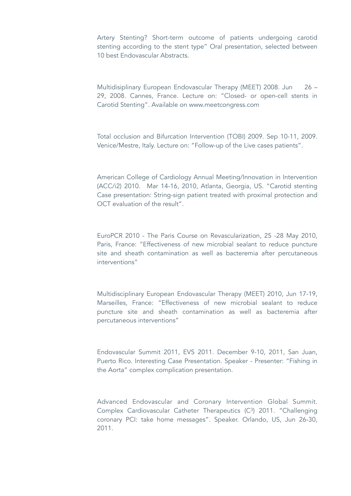Artery Stenting? Short-term outcome of patients undergoing carotid stenting according to the stent type" Oral presentation, selected between 10 best Endovascular Abstracts.

Multidisiplinary European Endovascular Therapy (MEET) 2008. Jun 26 – 29, 2008. Cannes, France. Lecture on: "Closed- or open-cell stents in Carotid Stenting". Available on [www.meetcongress.com](http://www.meetcongress.com)

Total occlusion and Bifurcation Intervention (TOBI) 2009. Sep 10-11, 2009. Venice/Mestre, Italy. Lecture on: "Follow-up of the Live cases patients".

American College of Cardiology Annual Meeting/Innovation in Intervention (ACC/i2) 2010. Mar 14-16, 2010, Atlanta, Georgia, US. "Carotid stenting Case presentation: String-sign patient treated with proximal protection and OCT evaluation of the result".

EuroPCR 2010 - The Paris Course on Revascularization, 25 -28 May 2010, Paris, France: "Effectiveness of new microbial sealant to reduce puncture site and sheath contamination as well as bacteremia after percutaneous interventions"

Multidisciplinary European Endovascular Therapy (MEET) 2010, Jun 17-19, Marseilles, France: "Effectiveness of new microbial sealant to reduce puncture site and sheath contamination as well as bacteremia after percutaneous interventions"

Endovascular Summit 2011, EVS 2011. December 9-10, 2011, San Juan, Puerto Rico. Interesting Case Presentation. Speaker - Presenter: "Fishing in the Aorta" complex complication presentation.

Advanced Endovascular and Coronary Intervention Global Summit. Complex Cardiovascular Catheter Therapeutics (C3) 2011. "Challenging coronary PCI: take home messages". Speaker. Orlando, US, Jun 26-30, 2011.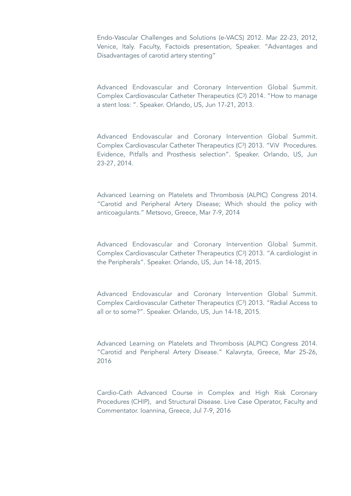Endo-Vascular Challenges and Solutions (e-VACS) 2012. Mar 22-23, 2012, Venice, Italy. Faculty, Factoids presentation, Speaker. "Advantages and Disadvantages of carotid artery stenting"

Advanced Endovascular and Coronary Intervention Global Summit. Complex Cardiovascular Catheter Therapeutics (C3) 2014. "How to manage a stent loss: ". Speaker. Orlando, US, Jun 17-21, 2013.

Advanced Endovascular and Coronary Intervention Global Summit. Complex Cardiovascular Catheter Therapeutics (C3) 2013. "ViV Procedures. Evidence, Pitfalls and Prosthesis selection". Speaker. Orlando, US, Jun 23-27, 2014.

Advanced Learning on Platelets and Thrombosis (ALPIC) Congress 2014. "Carotid and Peripheral Artery Disease; Which should the policy with anticoagulants." Metsovo, Greece, Mar 7-9, 2014

Advanced Endovascular and Coronary Intervention Global Summit. Complex Cardiovascular Catheter Therapeutics (C3) 2013. "A cardiologist in the Peripherals". Speaker. Orlando, US, Jun 14-18, 2015.

Advanced Endovascular and Coronary Intervention Global Summit. Complex Cardiovascular Catheter Therapeutics (C3) 2013. "Radial Access to all or to some?". Speaker. Orlando, US, Jun 14-18, 2015.

Advanced Learning on Platelets and Thrombosis (ALPIC) Congress 2014. "Carotid and Peripheral Artery Disease." Kalavryta, Greece, Mar 25-26, 2016

Cardio-Cath Advanced Course in Complex and High Risk Coronary Procedures (CHIP), and Structural Disease. Live Case Operator, Faculty and Commentator. Ioannina, Greece, Jul 7-9, 2016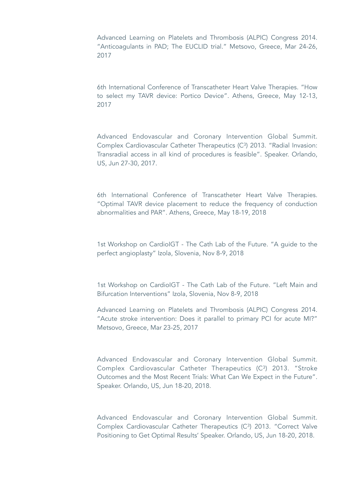Advanced Learning on Platelets and Thrombosis (ALPIC) Congress 2014. "Anticoagulants in PAD; The EUCLID trial." Metsovo, Greece, Mar 24-26, 2017

6th International Conference of Transcatheter Heart Valve Therapies. "How to select my TAVR device: Portico Device". Athens, Greece, May 12-13, 2017

Advanced Endovascular and Coronary Intervention Global Summit. Complex Cardiovascular Catheter Therapeutics (C3) 2013. "Radial Invasion: Transradial access in all kind of procedures is feasible". Speaker. Orlando, US, Jun 27-30, 2017.

6th International Conference of Transcatheter Heart Valve Therapies. "Optimal TAVR device placement to reduce the frequency of conduction abnormalities and PAR". Athens, Greece, May 18-19, 2018

1st Workshop on CardioIGT - The Cath Lab of the Future. "A guide to the perfect angioplasty" Izola, Slovenia, Nov 8-9, 2018

1st Workshop on CardioIGT - The Cath Lab of the Future. "Left Main and Bifurcation Interventions" Izola, Slovenia, Nov 8-9, 2018

Advanced Learning on Platelets and Thrombosis (ALPIC) Congress 2014. "Acute stroke intervention: Does it parallel to primary PCI for acute MI?" Metsovo, Greece, Mar 23-25, 2017

Advanced Endovascular and Coronary Intervention Global Summit. Complex Cardiovascular Catheter Therapeutics (C3) 2013. "Stroke Outcomes and the Most Recent Trials: What Can We Expect in the Future". Speaker. Orlando, US, Jun 18-20, 2018.

Advanced Endovascular and Coronary Intervention Global Summit. Complex Cardiovascular Catheter Therapeutics (C<sup>3</sup>) 2013. "Correct Valve Positioning to Get Optimal Results' Speaker. Orlando, US, Jun 18-20, 2018.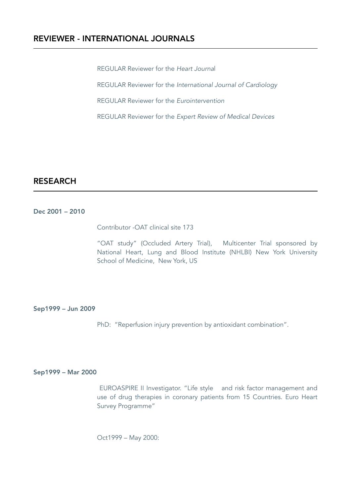# REVIEWER - INTERNATIONAL JOURNALS

REGULAR Reviewer for the *Heart Journa*l REGULAR Reviewer for the *International Journal of Cardiology*  REGULAR Reviewer for the *Eurointervention*  REGULAR Reviewer for the *Expert Review of Medical Devices* 

# RESEARCH

### Dec 2001 – 2010

Contributor -OAT clinical site 173

"OAT study" (Occluded Artery Trial), Multicenter Trial sponsored by National Heart, Lung and Blood Institute (NHLBI) New York University School of Medicine, New York, US

#### Sep1999 – Jun 2009

PhD: "Reperfusion injury prevention by antioxidant combination".

### Sep1999 – Mar 2000

 EUROASPIRE II Investigator. "Life style and risk factor management and use of drug therapies in coronary patients from 15 Countries. Euro Heart Survey Programme"

Oct1999 – May 2000: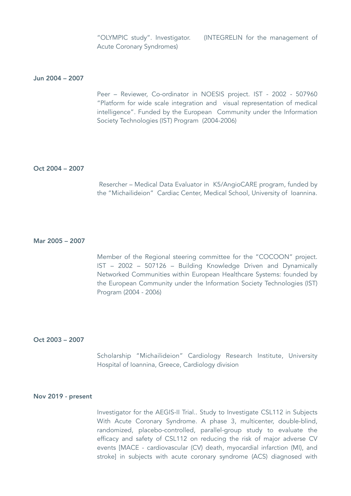"OLYMPIC study". Investigator. (INTEGRELIN for the management of Acute Coronary Syndromes)

#### Jun 2004 – 2007

Peer – Reviewer, Co-ordinator in NOESIS project. IST - 2002 - 507960 "Platform for wide scale integration and visual representation of medical intelligence". Funded by the European Community under the Information Society Technologies (IST) Program (2004-2006)

#### Oct 2004 – 2007

 Resercher – Medical Data Evaluator in K5/AngioCARE program, funded by the "Michailideion" Cardiac Center, Medical School, University of Ioannina.

#### Mar 2005 – 2007

Member of the Regional steering committee for the "COCOON" project. IST – 2002 – 507126 – Building Knowledge Driven and Dynamically Networked Communities within European Healthcare Systems: founded by the European Community under the Information Society Technologies (IST) Program (2004 - 2006)

#### Oct 2003 – 2007

Scholarship "Michailideion" Cardiology Research Institute, University Hospital of Ioannina, Greece, Cardiology division

#### Nov 2019 - present

Investigator for the AEGIS-II Trial.. Study to Investigate CSL112 in Subjects With Acute Coronary Syndrome. A phase 3, multicenter, double-blind, randomized, placebo-controlled, parallel-group study to evaluate the efficacy and safety of CSL112 on reducing the risk of major adverse CV events [MACE - cardiovascular (CV) death, myocardial infarction (MI), and stroke] in subjects with acute coronary syndrome (ACS) diagnosed with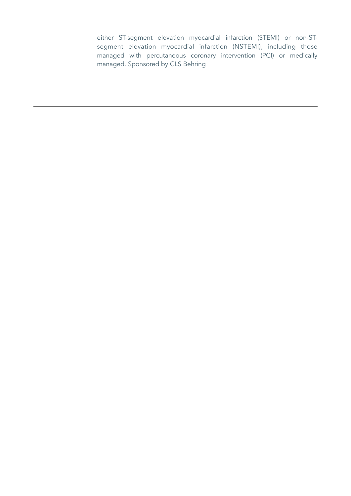either ST-segment elevation myocardial infarction (STEMI) or non-STsegment elevation myocardial infarction (NSTEMI), including those managed with percutaneous coronary intervention (PCI) or medically managed. Sponsored by CLS Behring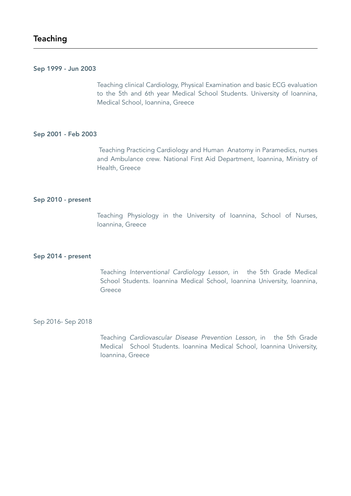#### Sep 1999 - Jun 2003

Teaching clinical Cardiology, Physical Examination and basic ECG evaluation to the 5th and 6th year Medical School Students. University of Ioannina, Medical School, Ioannina, Greece

#### Sep 2001 - Feb 2003

 Teaching Practicing Cardiology and Human Anatomy in Paramedics, nurses and Ambulance crew. National First Aid Department, Ioannina, Ministry of Health, Greece

### Sep 2010 - present

Teaching Physiology in the University of Ioannina, School of Nurses, Ioannina, Greece

#### Sep 2014 - present

Teaching *Interventional Cardiology Lesson,* in the 5th Grade Medical School Students. Ioannina Medical School, Ioannina University, Ioannina, Greece

Sep 2016- Sep 2018

Teaching *Cardiovascular Disease Prevention Lesson*, in the 5th Grade Medical School Students. Ioannina Medical School, Ioannina University, Ioannina, Greece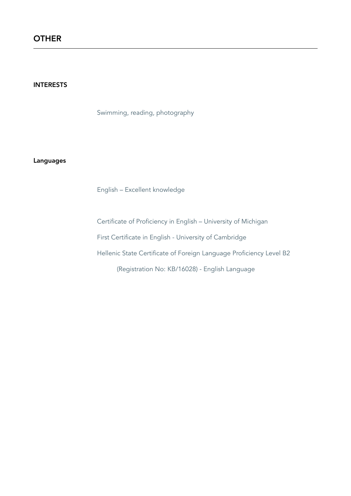### INTERESTS

Swimming, reading, photography

# Languages

English – Excellent knowledge

Certificate of Proficiency in English – University of Michigan First Certificate in English - University of Cambridge Hellenic State Certificate of Foreign Language Proficiency Level B2 (Registration No: KB/16028) - English Language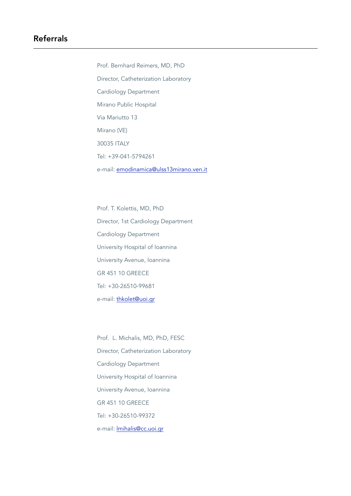Prof. Bernhard Reimers, MD, PhD Director, Catheterization Laboratory Cardiology Department Mirano Public Hospital Via Mariutto 13 Mirano (VE) 30035 ITALY Tel: +39-041-5794261 e-mail: [emodinamica@ulss13mirano.ven.it](mailto:emodinamica@ulss13mirano.ven.it)

Prof. T. Kolettis, MD, PhD Director, 1st Cardiology Department Cardiology Department University Hospital of Ioannina University Avenue, Ioannina GR 451 10 GREECE Tel: +30-26510-99681 e-mail: [thkolet@uoi.gr](mailto:thkolet@uoi.gr)

Prof. L. Michalis, MD, PhD, FESC Director, Catheterization Laboratory Cardiology Department University Hospital of Ioannina University Avenue, Ioannina GR 451 10 GREECE Tel: +30-26510-99372 e-mail: [lmihalis@cc.uoi.gr](mailto:lmihalis@cc.uoi.gr)